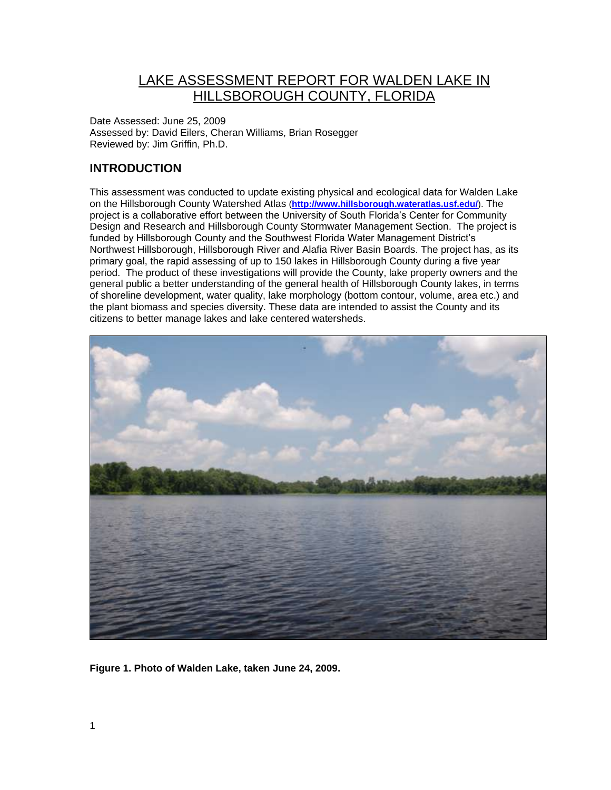# LAKE ASSESSMENT REPORT FOR WALDEN LAKE IN HILLSBOROUGH COUNTY, FLORIDA

Date Assessed: June 25, 2009 Assessed by: David Eilers, Cheran Williams, Brian Rosegger Reviewed by: Jim Griffin, Ph.D.

## **INTRODUCTION**

This assessment was conducted to update existing physical and ecological data for Walden Lake on the Hillsborough County Watershed Atlas (**<http://www.hillsborough.wateratlas.usf.edu/>**). The project is a collaborative effort between the University of South Florida's Center for Community Design and Research and Hillsborough County Stormwater Management Section. The project is funded by Hillsborough County and the Southwest Florida Water Management District's Northwest Hillsborough, Hillsborough River and Alafia River Basin Boards. The project has, as its primary goal, the rapid assessing of up to 150 lakes in Hillsborough County during a five year period. The product of these investigations will provide the County, lake property owners and the general public a better understanding of the general health of Hillsborough County lakes, in terms of shoreline development, water quality, lake morphology (bottom contour, volume, area etc.) and the plant biomass and species diversity. These data are intended to assist the County and its citizens to better manage lakes and lake centered watersheds.



**Figure 1. Photo of Walden Lake, taken June 24, 2009.**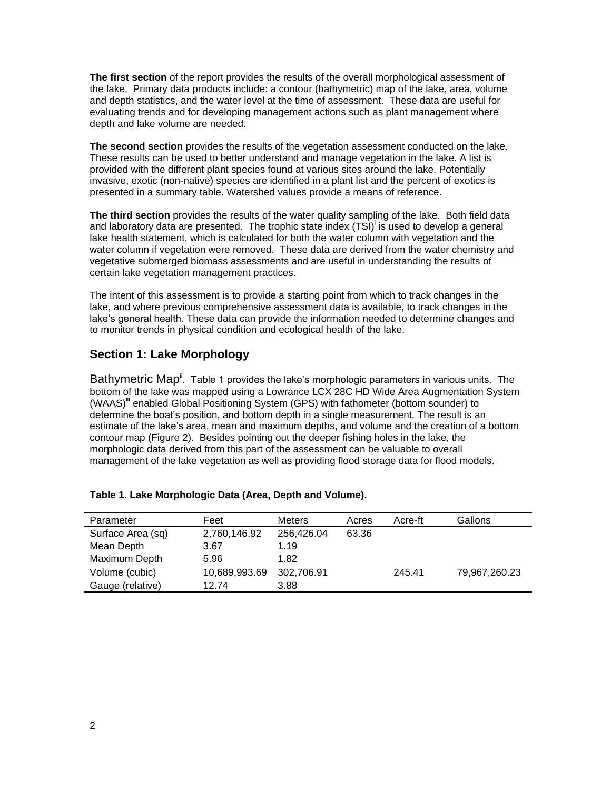**The first section** of the report provides the results of the overall morphological assessment of the lake. Primary data products include: a contour (bathymetric) map of the lake, area, volume and depth statistics, and the water level at the time of assessment. These data are useful for evaluating trends and for developing management actions such as plant management where depth and lake volume are needed.

**The second section** provides the results of the vegetation assessment conducted on the lake. These results can be used to better understand and manage vegetation in the lake. A list is provided with the different plant species found at various sites around the lake. Potentially invasive, exotic (non-native) species are identified in a plant list and the percent of exotics is presented in a summary table. Watershed values provide a means of reference.

**The third section** provides the results of the water quality sampling of the lake. Both field data and laboratory data are presented. The trophic state index (TSI)<sup>i</sup> is used to develop a general lake health statement, which is calculated for both the water column with vegetation and the water column if vegetation were removed. These data are derived from the water chemistry and vegetative submerged biomass assessments and are useful in understanding the results of certain lake vegetation management practices.

The intent of this assessment is to provide a starting point from which to track changes in the lake, and where previous comprehensive assessment data is available, to track changes in the lake's general health. These data can provide the information needed to determine changes and to monitor trends in physical condition and ecological health of the lake.

## **Section 1: Lake Morphology**

Bathymetric Map<sup>ii</sup>. Table 1 provides the lake's morphologic parameters in various units. The bottom of the lake was mapped using a Lowrance LCX 28C HD Wide Area Augmentation System (WAAS)<sup>iii</sup> enabled Global Positioning System (GPS) with fathometer (bottom sounder) to determine the boat's position, and bottom depth in a single measurement. The result is an estimate of the lake's area, mean and maximum depths, and volume and the creation of a bottom contour map (Figure 2). Besides pointing out the deeper fishing holes in the lake, the morphologic data derived from this part of the assessment can be valuable to overall management of the lake vegetation as well as providing flood storage data for flood models.

| Parameter         | Feet          | <b>Meters</b> | Acres | Acre-ft | Gallons       |
|-------------------|---------------|---------------|-------|---------|---------------|
| Surface Area (sq) | 2,760,146.92  | 256,426.04    | 63.36 |         |               |
| Mean Depth        | 3.67          | 1.19          |       |         |               |
| Maximum Depth     | 5.96          | 1.82          |       |         |               |
| Volume (cubic)    | 10,689,993.69 | 302.706.91    |       | 245.41  | 79.967.260.23 |
| Gauge (relative)  | 12.74         | 3.88          |       |         |               |

#### **Table 1. Lake Morphologic Data (Area, Depth and Volume).**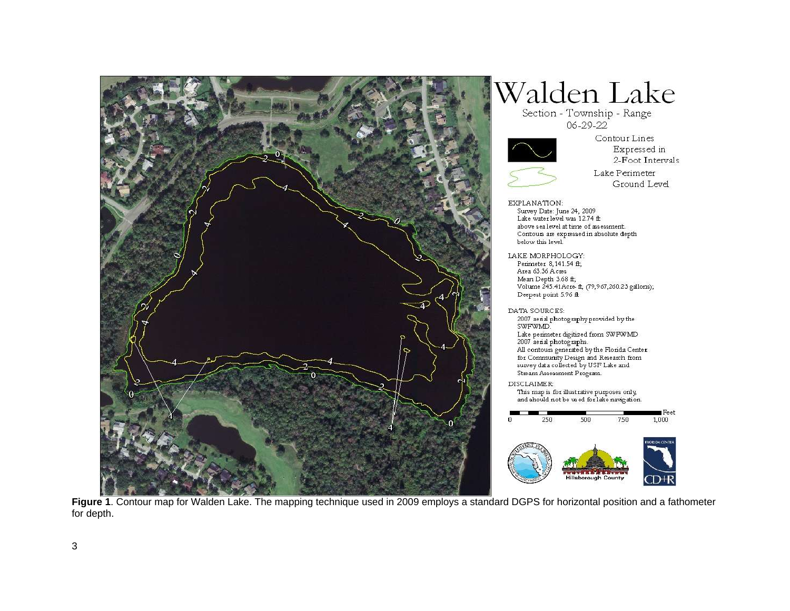

# Walden Lake

Section - Township - Range  $06 - 29 - 22$ 



Contour Lines Expressed in 2-Foot Intervals



- EXPLANATION: Survey Date: June 24, 2009 Lake water level was 12.74 ft above sea level at time of assessment. Contours are expressed in absolute depth below this level. LAKE MORPHOLOGY: Perimeter 8,141.54 ft;
	- Area 63.36 Acres Mean Depth 3.68 ft; Volume 245.41 Acre ff, (79,967,260.23 gallons); Deepest point 5.96 ft

DATA SOURCES:

2007 aerial photography provided by the<br>SWFWMD.  ${\rm Lake \ perimeter \ digitized \ from \ SWFWMD} \\ 2007 \ a {\rm end \ photog \ graphs}.$ All contours generated by the Florida Center for Community Design and Research from survey data collected by USF Lake and Stream Assessment Program.

**DISCLAIMER:** This map is for illustrative purposes only, and should not be used for lake navigation.



**Figure 1**. Contour map for Walden Lake. The mapping technique used in 2009 employs a standard DGPS for horizontal position and a fathometer for depth.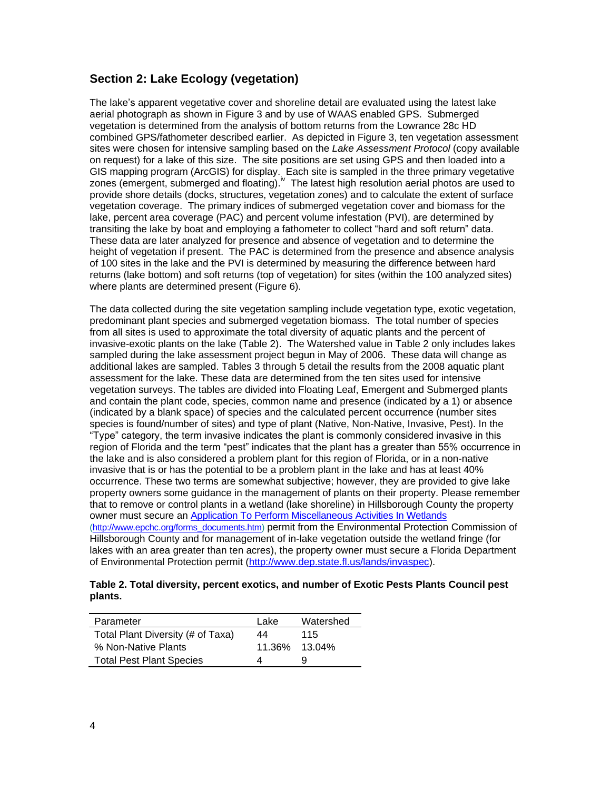### **Section 2: Lake Ecology (vegetation)**

The lake's apparent vegetative cover and shoreline detail are evaluated using the latest lake aerial photograph as shown in Figure 3 and by use of WAAS enabled GPS. Submerged vegetation is determined from the analysis of bottom returns from the Lowrance 28c HD combined GPS/fathometer described earlier. As depicted in Figure 3, ten vegetation assessment sites were chosen for intensive sampling based on the *Lake Assessment Protocol* (copy available on request) for a lake of this size. The site positions are set using GPS and then loaded into a GIS mapping program (ArcGIS) for display. Each site is sampled in the three primary vegetative zones (emergent, submerged and floating).<sup>iv</sup> The latest high resolution aerial photos are used to provide shore details (docks, structures, vegetation zones) and to calculate the extent of surface vegetation coverage. The primary indices of submerged vegetation cover and biomass for the lake, percent area coverage (PAC) and percent volume infestation (PVI), are determined by transiting the lake by boat and employing a fathometer to collect "hard and soft return" data. These data are later analyzed for presence and absence of vegetation and to determine the height of vegetation if present. The PAC is determined from the presence and absence analysis of 100 sites in the lake and the PVI is determined by measuring the difference between hard returns (lake bottom) and soft returns (top of vegetation) for sites (within the 100 analyzed sites) where plants are determined present (Figure 6).

The data collected during the site vegetation sampling include vegetation type, exotic vegetation, predominant plant species and submerged vegetation biomass. The total number of species from all sites is used to approximate the total diversity of aquatic plants and the percent of invasive-exotic plants on the lake (Table 2). The Watershed value in Table 2 only includes lakes sampled during the lake assessment project begun in May of 2006. These data will change as additional lakes are sampled. Tables 3 through 5 detail the results from the 2008 aquatic plant assessment for the lake. These data are determined from the ten sites used for intensive vegetation surveys. The tables are divided into Floating Leaf, Emergent and Submerged plants and contain the plant code, species, common name and presence (indicated by a 1) or absence (indicated by a blank space) of species and the calculated percent occurrence (number sites species is found/number of sites) and type of plant (Native, Non-Native, Invasive, Pest). In the "Type" category, the term invasive indicates the plant is commonly considered invasive in this region of Florida and the term "pest" indicates that the plant has a greater than 55% occurrence in the lake and is also considered a problem plant for this region of Florida, or in a non-native invasive that is or has the potential to be a problem plant in the lake and has at least 40% occurrence. These two terms are somewhat subjective; however, they are provided to give lake property owners some guidance in the management of plants on their property. Please remember that to remove or control plants in a wetland (lake shoreline) in Hillsborough County the property owner must secure an [Application To Perform Miscellaneous Activities In Wetlands](http://www.epchc.org/PDF%20Wetlands%20Forms/MAIW%20application%20for%20all%20types%20of%20impacts%20VIP%20-%20July%202006.pdf) [\(http://www.epchc.org/forms\\_documents.htm\)](http://www.epchc.org/forms_documents.htm) permit from the Environmental Protection Commission of Hillsborough County and for management of in-lake vegetation outside the wetland fringe (for lakes with an area greater than ten acres), the property owner must secure a Florida Department of Environmental Protection permit [\(http://www.dep.state.fl.us/lands/invaspec\)](http://www.dep.state.fl.us/lands/invaspec/).

#### **Table 2. Total diversity, percent exotics, and number of Exotic Pests Plants Council pest plants.**

| Parameter                         | Lake | Watershed     |
|-----------------------------------|------|---------------|
| Total Plant Diversity (# of Taxa) | 44   | 115           |
| % Non-Native Plants               |      | 11.36% 13.04% |
| <b>Total Pest Plant Species</b>   |      |               |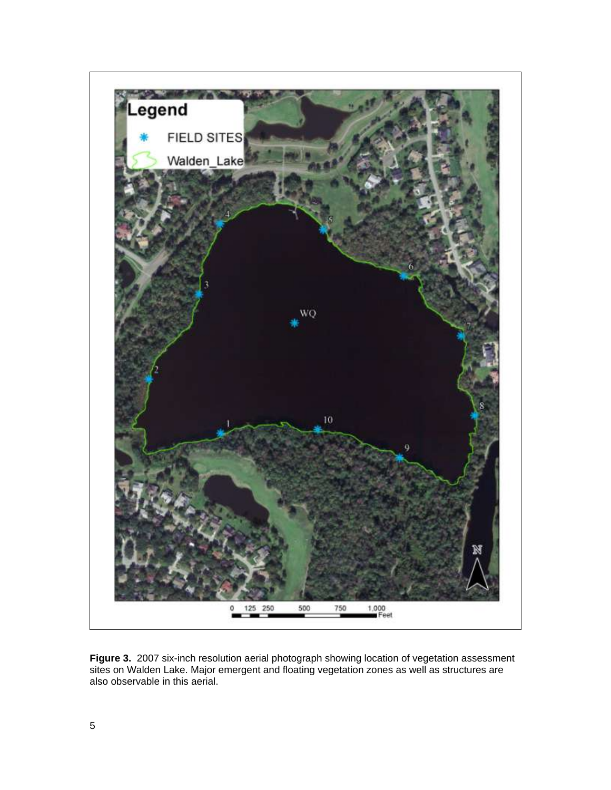

**Figure 3.** 2007 six-inch resolution aerial photograph showing location of vegetation assessment sites on Walden Lake. Major emergent and floating vegetation zones as well as structures are also observable in this aerial.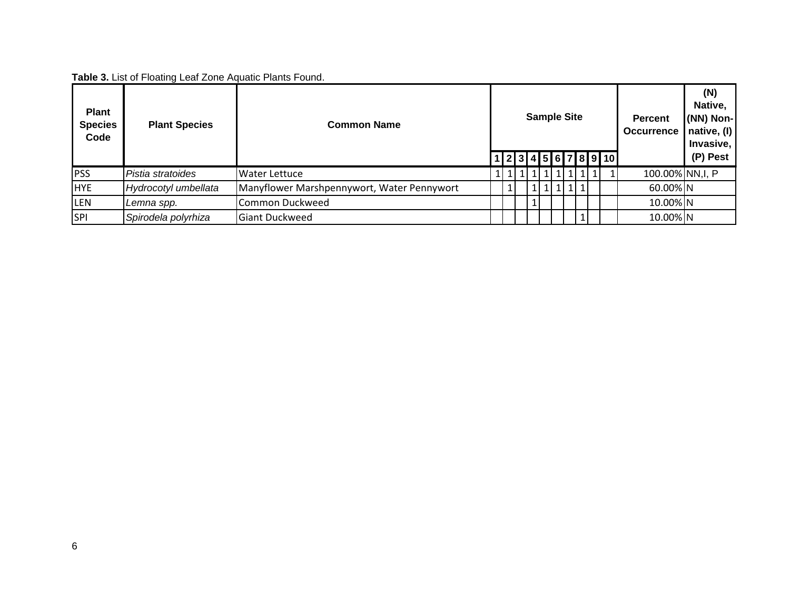**Table 3.** List of Floating Leaf Zone Aquatic Plants Found.

| <b>Plant</b><br><b>Species</b><br>Code | <b>Plant Species</b> | <b>Common Name</b>                         |  | <b>Sample Site</b><br>1 2 3 4 5 6 7 8 9 10 |  |  |  |  |         |  | <b>Percent</b><br><b>Occurrence</b> | (N)<br>Native,<br>(NN) Non-<br>native, (I)<br>Invasive,<br>(P) Pest |
|----------------------------------------|----------------------|--------------------------------------------|--|--------------------------------------------|--|--|--|--|---------|--|-------------------------------------|---------------------------------------------------------------------|
| PSS                                    | Pistia stratoides    | <b>Water Lettuce</b>                       |  |                                            |  |  |  |  | LI 11 1 |  | 100.00% NN, I, P                    |                                                                     |
| <b>HYE</b>                             | Hydrocotyl umbellata | Manyflower Marshpennywort, Water Pennywort |  |                                            |  |  |  |  |         |  | 60.00% N                            |                                                                     |
| <b>LEN</b>                             | Lemna spp.           | Common Duckweed                            |  |                                            |  |  |  |  |         |  | 10.00% N                            |                                                                     |
| <b>SPI</b>                             | Spirodela polyrhiza  | <b>Giant Duckweed</b>                      |  |                                            |  |  |  |  |         |  | 10.00% N                            |                                                                     |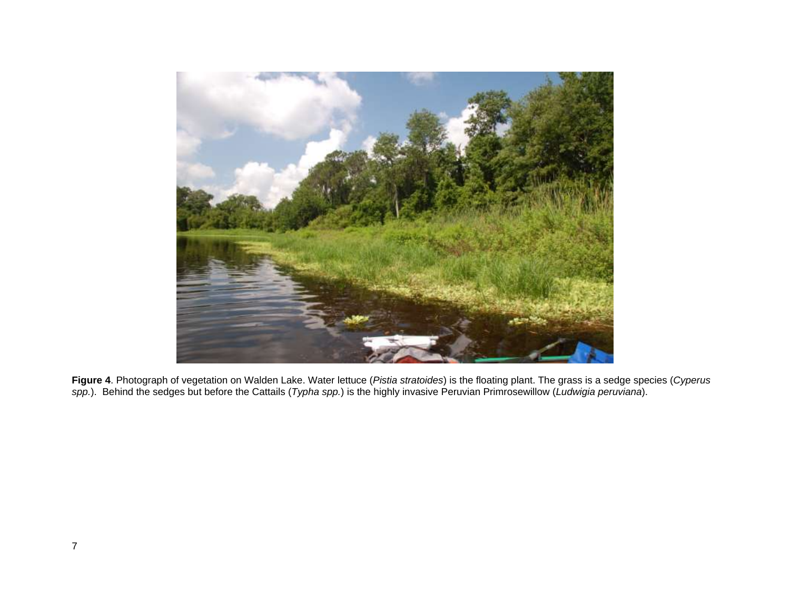

**Figure 4**. Photograph of vegetation on Walden Lake. Water lettuce (*Pistia stratoides*) is the floating plant. The grass is a sedge species (*Cyperus spp.*). Behind the sedges but before the Cattails (*Typha spp.*) is the highly invasive Peruvian Primrosewillow (*Ludwigia peruviana*).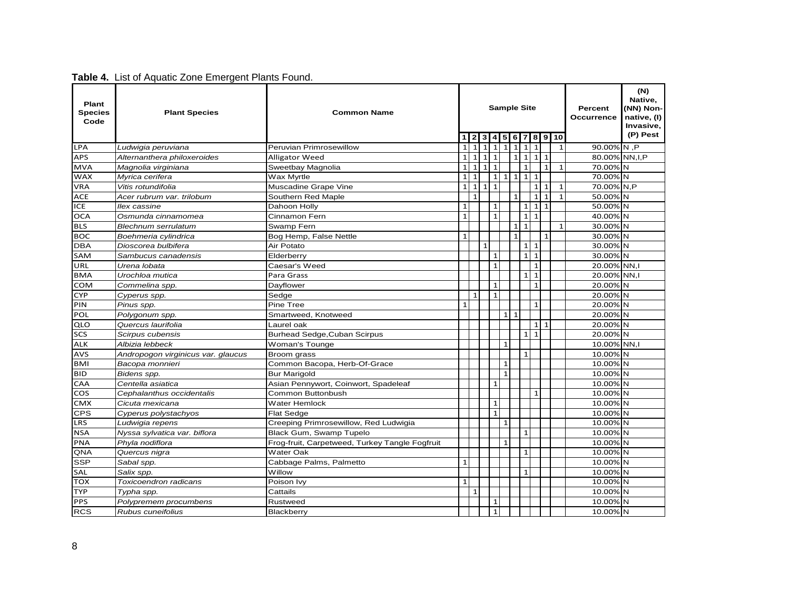| <b>Plant</b><br><b>Species</b><br>Code | <b>Plant Species</b><br><b>Common Name</b> |                                                |                |              |                 |              |              |              | <b>Sample Site</b> |              |              |    | Percent<br>Occurrence | (N)<br>Native,<br>(NN) Non-<br>native, (I)<br>Invasive,<br>(P) Pest |  |
|----------------------------------------|--------------------------------------------|------------------------------------------------|----------------|--------------|-----------------|--------------|--------------|--------------|--------------------|--------------|--------------|----|-----------------------|---------------------------------------------------------------------|--|
|                                        |                                            |                                                |                |              | 3               | 4            | 5            | 6            | 7                  | 8            | l 9 l        | 10 |                       |                                                                     |  |
| <b>LPA</b>                             | Ludwigia peruviana                         | Peruvian Primrosewillow                        | $\mathbf{1}$   | $\mathbf{1}$ | $\mathbf{1}$    | $\mathbf{1}$ | $\mathbf{1}$ | $\mathbf{1}$ | $\mathbf{1}$       |              |              |    | $\mathbf{1}$          | 90.00% N ,P                                                         |  |
| <b>APS</b>                             | Alternanthera philoxeroides                | <b>Alligator Weed</b>                          | $\mathbf{1}$   | 1            | 111             |              |              | $\mathbf{1}$ | $\mathbf{1}$       | $\mathbf{1}$ | $\mathbf{1}$ |    |                       | 80.00% NN, I, P                                                     |  |
| <b>MVA</b>                             | Magnolia virginiana                        | Sweetbay Magnolia                              | $\mathbf{1}$   | 1            | $1\overline{ }$ | $\mathbf{1}$ |              |              | $\mathbf{1}$       |              | $\mathbf{1}$ |    | $\mathbf{1}$          | 70.00% N                                                            |  |
| <b>WAX</b>                             | Myrica cerifera                            | Wax Myrtle                                     | $\mathbf{1}$   | $\mathbf{1}$ |                 | $\mathbf 1$  | 1            | $\mathbf{1}$ | 1                  | $\mathbf{1}$ |              |    |                       | 70.00% N                                                            |  |
| VRA                                    | Vitis rotundifolia                         | Muscadine Grape Vine                           | $\mathbf{1}$   | 1            | $1\vert 1$      |              |              |              |                    | $\mathbf{1}$ | $\mathbf{1}$ |    | $\mathbf{1}$          | 70.00% N,P                                                          |  |
| <b>ACE</b>                             | Acer rubrum var. trilobum                  | Southern Red Maple                             |                | $\mathbf{1}$ |                 |              |              | $\mathbf{1}$ |                    | $\mathbf{1}$ | $\mathbf{1}$ |    | $\mathbf{1}$          | 50.00% N                                                            |  |
| ICE                                    | llex cassine                               | Dahoon Holly                                   | $\mathbf{1}$   |              |                 | $\mathbf{1}$ |              |              | $1\vert$           | $\mathbf{1}$ | $\mathbf{1}$ |    |                       | 50.00% N                                                            |  |
| OCA                                    | Osmunda cinnamomea                         | Cinnamon Fern                                  | $\mathbf{1}$   |              |                 | $\mathbf{1}$ |              |              | $1\vert$           | $\mathbf{1}$ |              |    |                       | 40.00% N                                                            |  |
| <b>BLS</b>                             | Blechnum serrulatum                        | Swamp Fern                                     |                |              |                 |              |              | $1\vert$     | $\mathbf{1}$       |              |              |    | 1                     | 30.00% N                                                            |  |
| <b>BOC</b>                             | Boehmeria cylindrica                       | Bog Hemp, False Nettle                         | $\mathbf{1}$   |              |                 |              |              | $\mathbf{1}$ |                    |              | $\mathbf{1}$ |    |                       | 30.00% N                                                            |  |
| <b>DBA</b>                             | Dioscorea bulbifera                        | Air Potato                                     |                |              | $\mathbf{1}$    |              |              |              | $1\vert$           | $\mathbf{1}$ |              |    |                       | 30.00% N                                                            |  |
| SAM                                    | Sambucus canadensis                        | Elderberry                                     |                |              |                 | $\mathbf{1}$ |              |              | $1\vert$           | $\mathbf{1}$ |              |    |                       | 30.00% N                                                            |  |
| URL                                    | Urena lobata<br>Caesar's Weed              |                                                |                |              |                 | $\mathbf{1}$ |              |              |                    | $\mathbf{1}$ |              |    |                       | 20.00% NN.I                                                         |  |
| <b>BMA</b>                             | Urochloa mutica                            | Para Grass                                     |                |              |                 |              |              |              | 1 <sup>1</sup>     | $\mathbf{1}$ |              |    |                       | 20.00% NN,I                                                         |  |
| COM                                    | Commelina spp.                             | Dayflower                                      |                |              |                 | $\mathbf{1}$ |              |              |                    | $\mathbf{1}$ |              |    |                       | 20.00% N                                                            |  |
| <b>CYP</b>                             | Cyperus spp.                               | Sedge                                          |                | $\mathbf{1}$ |                 | $\mathbf{1}$ |              |              |                    |              |              |    |                       | 20.00% N                                                            |  |
| PIN                                    | Pinus spp.                                 | Pine Tree                                      | $\overline{1}$ |              |                 |              |              |              |                    | $\mathbf{1}$ |              |    |                       | 20.00% N                                                            |  |
| POL                                    | Polygonum spp.                             | Smartweed, Knotweed                            |                |              |                 |              |              | 111          |                    |              |              |    |                       | 20.00% N                                                            |  |
| QLO                                    | Quercus laurifolia                         | Laurel oak                                     |                |              |                 |              |              |              |                    | $\mathbf{1}$ | $\mathbf{1}$ |    |                       | 20.00% N                                                            |  |
| SCS                                    | Scirpus cubensis                           | Burhead Sedge, Cuban Scirpus                   |                |              |                 |              |              |              | 1 <sup>1</sup>     | $\mathbf{1}$ |              |    |                       | 20.00% N                                                            |  |
| ALK                                    | Albizia lebbeck                            | Woman's Tounge                                 |                |              |                 |              | $\mathbf{1}$ |              |                    |              |              |    |                       | 10.00% NN,I                                                         |  |
| <b>AVS</b>                             | Andropogon virginicus var. glaucus         | Broom grass                                    |                |              |                 |              |              |              | $\mathbf{1}$       |              |              |    |                       | 10.00% N                                                            |  |
| <b>BMI</b>                             | Bacopa monnieri                            | Common Bacopa, Herb-Of-Grace                   |                |              |                 |              | $\mathbf{1}$ |              |                    |              |              |    |                       | 10.00% N                                                            |  |
| <b>BID</b>                             | Bidens spp.                                | <b>Bur Marigold</b>                            |                |              |                 |              | $\mathbf{1}$ |              |                    |              |              |    |                       | 10.00% N                                                            |  |
| CAA                                    | Centella asiatica                          | Asian Pennywort, Coinwort, Spadeleaf           |                |              |                 | $\mathbf{1}$ |              |              |                    |              |              |    |                       | 10.00% N                                                            |  |
| <b>COS</b>                             | Cephalanthus occidentalis                  | Common Buttonbush                              |                |              |                 |              |              |              |                    | $\mathbf{1}$ |              |    |                       | 10.00% N                                                            |  |
| <b>CMX</b>                             | Cicuta mexicana                            | Water Hemlock                                  |                |              |                 | $\mathbf{1}$ |              |              |                    |              |              |    |                       | 10.00% N                                                            |  |
| <b>CPS</b>                             | Cyperus polystachyos                       | <b>Flat Sedge</b>                              |                |              |                 | $\mathbf{1}$ |              |              |                    |              |              |    |                       | 10.00% N                                                            |  |
| LRS                                    | Ludwigia repens                            | Creeping Primrosewillow, Red Ludwigia          |                |              |                 |              | $\mathbf{1}$ |              |                    |              |              |    |                       | 10.00% N                                                            |  |
| <b>NSA</b>                             | Nyssa sylvatica var. biflora               | Black Gum, Swamp Tupelo                        |                |              |                 |              |              |              | $\mathbf{1}$       |              |              |    |                       | 10.00% N                                                            |  |
| <b>PNA</b>                             | Phyla nodiflora                            | Frog-fruit, Carpetweed, Turkey Tangle Fogfruit |                |              |                 |              | $\mathbf{1}$ |              |                    |              |              |    |                       | 10.00% N                                                            |  |
| QNA                                    | Quercus nigra                              | <b>Water Oak</b>                               |                |              |                 |              |              |              | $\mathbf{1}$       |              |              |    |                       | 10.00% N                                                            |  |
| <b>SSP</b>                             | Sabal spp.<br>Cabbage Palms, Palmetto      |                                                | $\mathbf{1}$   |              |                 |              |              |              |                    |              |              |    |                       | 10.00% N                                                            |  |
| SAL                                    | Salix spp.<br>Willow                       |                                                |                |              |                 |              |              |              | $\mathbf{1}$       |              |              |    |                       | 10.00% N                                                            |  |
| TOX                                    | Toxicoendron radicans                      | Poison Ivy                                     |                |              |                 |              |              |              |                    |              |              |    |                       | 10.00% N                                                            |  |
| <b>TYP</b>                             | Typha spp.                                 | Cattails                                       | $\mathbf{1}$   | $\mathbf{1}$ |                 |              |              |              |                    |              |              |    |                       | 10.00% N                                                            |  |
| <b>PPS</b>                             | Polypremem procumbens                      | Rustweed                                       |                |              |                 | $\mathbf{1}$ |              |              |                    |              |              |    |                       | 10.00% N                                                            |  |
| <b>RCS</b>                             | Rubus cuneifolius                          | Blackberry                                     |                |              |                 | $\mathbf{1}$ |              |              |                    |              |              |    |                       | 10.00% N                                                            |  |

**Table 4.** List of Aquatic Zone Emergent Plants Found.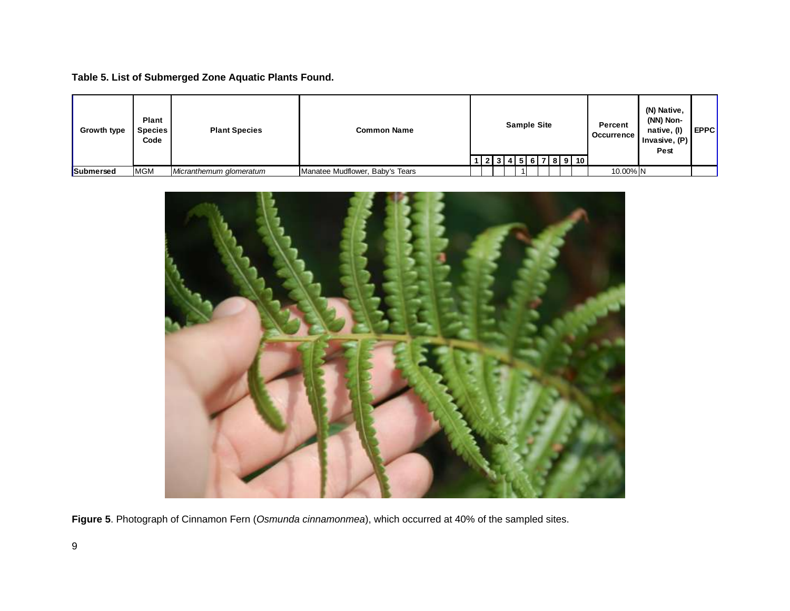**Table 5. List of Submerged Zone Aquatic Plants Found.** 

| <b>Growth type</b> | Plant<br>Species  <br>Code | <b>Plant Species</b>    | <b>Common Name</b>              |  |  | <b>Sample Site</b> |  | <u> 2 3 4 5 6 7 8 9 10 </u> | Percent<br><b>Occurrence</b> | (N) Native,<br>(NN) Non-<br>native, (I)<br>Invasive, $(P)$<br>Pest | I EPPCI |
|--------------------|----------------------------|-------------------------|---------------------------------|--|--|--------------------|--|-----------------------------|------------------------------|--------------------------------------------------------------------|---------|
| Submersed          | <b>MGM</b>                 | Micranthemum glomeratum | Manatee Mudflower, Baby's Tears |  |  |                    |  |                             | 10.00% N                     |                                                                    |         |



**Figure 5**. Photograph of Cinnamon Fern (*Osmunda cinnamonmea*), which occurred at 40% of the sampled sites.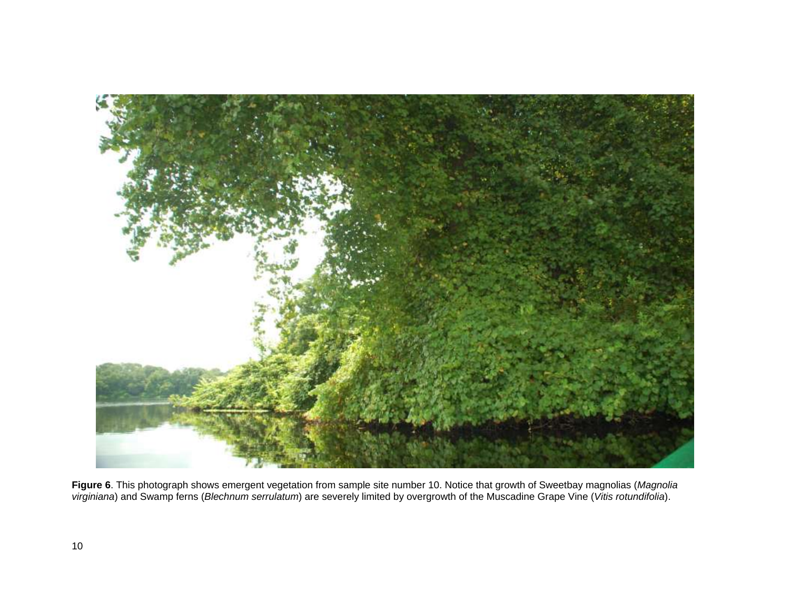

**Figure 6**. This photograph shows emergent vegetation from sample site number 10. Notice that growth of Sweetbay magnolias (*Magnolia virginiana*) and Swamp ferns (*Blechnum serrulatum*) are severely limited by overgrowth of the Muscadine Grape Vine (*Vitis rotundifolia*).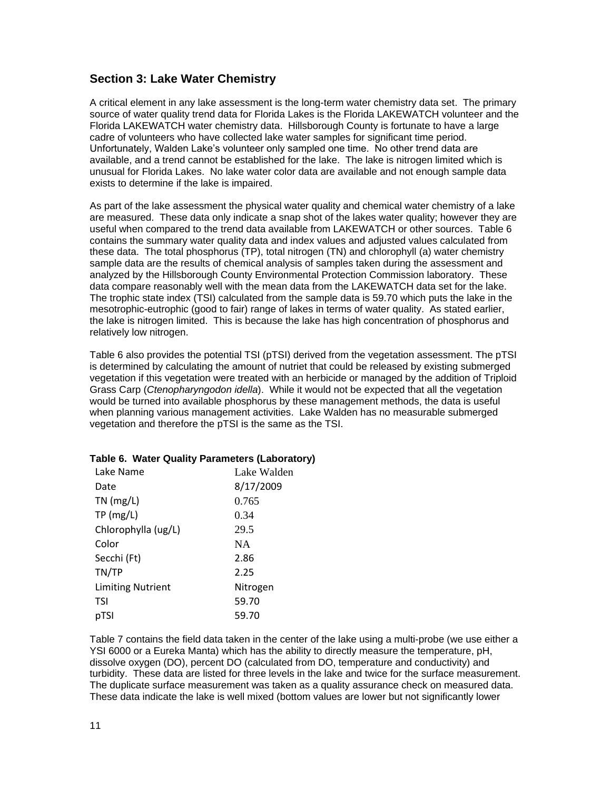#### **Section 3: Lake Water Chemistry**

A critical element in any lake assessment is the long-term water chemistry data set. The primary source of water quality trend data for Florida Lakes is the Florida LAKEWATCH volunteer and the Florida LAKEWATCH water chemistry data. Hillsborough County is fortunate to have a large cadre of volunteers who have collected lake water samples for significant time period. Unfortunately, Walden Lake's volunteer only sampled one time. No other trend data are available, and a trend cannot be established for the lake. The lake is nitrogen limited which is unusual for Florida Lakes. No lake water color data are available and not enough sample data exists to determine if the lake is impaired.

As part of the lake assessment the physical water quality and chemical water chemistry of a lake are measured. These data only indicate a snap shot of the lakes water quality; however they are useful when compared to the trend data available from LAKEWATCH or other sources. Table 6 contains the summary water quality data and index values and adjusted values calculated from these data. The total phosphorus (TP), total nitrogen (TN) and chlorophyll (a) water chemistry sample data are the results of chemical analysis of samples taken during the assessment and analyzed by the Hillsborough County Environmental Protection Commission laboratory. These data compare reasonably well with the mean data from the LAKEWATCH data set for the lake. The trophic state index (TSI) calculated from the sample data is 59.70 which puts the lake in the mesotrophic-eutrophic (good to fair) range of lakes in terms of water quality. As stated earlier, the lake is nitrogen limited. This is because the lake has high concentration of phosphorus and relatively low nitrogen.

Table 6 also provides the potential TSI (pTSI) derived from the vegetation assessment. The pTSI is determined by calculating the amount of nutriet that could be released by existing submerged vegetation if this vegetation were treated with an herbicide or managed by the addition of Triploid Grass Carp (*Ctenopharyngodon idella*). While it would not be expected that all the vegetation would be turned into available phosphorus by these management methods, the data is useful when planning various management activities. Lake Walden has no measurable submerged vegetation and therefore the pTSI is the same as the TSI.

| Lake Name                | Lake Walden |
|--------------------------|-------------|
| Date                     | 8/17/2009   |
| $TN$ (mg/L)              | 0.765       |
| TP(mg/L)                 | 0.34        |
| Chlorophylla (ug/L)      | 29.5        |
| Color                    | <b>NA</b>   |
| Secchi (Ft)              | 2.86        |
| TN/TP                    | 2.25        |
| <b>Limiting Nutrient</b> | Nitrogen    |
| TSI                      | 59.70       |
| pTSI                     | 59.70       |

#### **Table 6. Water Quality Parameters (Laboratory)**

Table 7 contains the field data taken in the center of the lake using a multi-probe (we use either a YSI 6000 or a Eureka Manta) which has the ability to directly measure the temperature, pH, dissolve oxygen (DO), percent DO (calculated from DO, temperature and conductivity) and turbidity. These data are listed for three levels in the lake and twice for the surface measurement. The duplicate surface measurement was taken as a quality assurance check on measured data. These data indicate the lake is well mixed (bottom values are lower but not significantly lower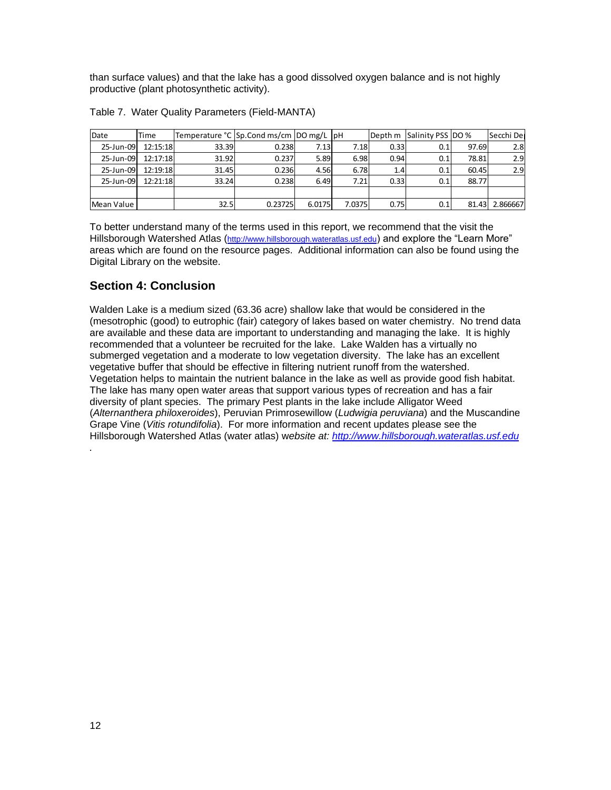than surface values) and that the lake has a good dissolved oxygen balance and is not highly productive (plant photosynthetic activity).

| Date       | Time     | Temperature °C Sp.Cond ms/cm DO mg/L pH |         |        |        |      | Depth m Salinity PSS DO % |       | Secchi De      |
|------------|----------|-----------------------------------------|---------|--------|--------|------|---------------------------|-------|----------------|
| 25-Jun-09  | 12:15:18 | 33.39                                   | 0.238   | 7.13   | 7.18   | 0.33 | 0.1                       | 97.69 | 2.8            |
| 25-Jun-09  | 12:17:18 | 31.92                                   | 0.237   | 5.89   | 6.98   | 0.94 | 0.1                       | 78.81 | 2.9            |
| 25-Jun-09  | 12:19:18 | 31.45                                   | 0.236   | 4.56   | 6.78   | 1.4  | 0.1                       | 60.45 | 2.9            |
| 25-Jun-09  | 12:21:18 | 33.24                                   | 0.238   | 6.49   | 7.21   | 0.33 | 0.1                       | 88.77 |                |
|            |          |                                         |         |        |        |      |                           |       |                |
| Mean Value |          | 32.5                                    | 0.23725 | 6.0175 | 7.0375 | 0.75 | 0.1                       |       | 81.43 2.866667 |

|  | Table 7. Water Quality Parameters (Field-MANTA) |
|--|-------------------------------------------------|
|  |                                                 |
|  |                                                 |

To better understand many of the terms used in this report, we recommend that the visit the Hillsborough Watershed Atlas ([http://www.hillsborough.wateratlas.usf.edu](http://www.hillsborough.wateratlas.usf.edu/)) and explore the "Learn More" areas which are found on the resource pages. Additional information can also be found using the Digital Library on the website.

## **Section 4: Conclusion**

Walden Lake is a medium sized (63.36 acre) shallow lake that would be considered in the (mesotrophic (good) to eutrophic (fair) category of lakes based on water chemistry. No trend data are available and these data are important to understanding and managing the lake. It is highly recommended that a volunteer be recruited for the lake. Lake Walden has a virtually no submerged vegetation and a moderate to low vegetation diversity. The lake has an excellent vegetative buffer that should be effective in filtering nutrient runoff from the watershed. Vegetation helps to maintain the nutrient balance in the lake as well as provide good fish habitat. The lake has many open water areas that support various types of recreation and has a fair diversity of plant species. The primary Pest plants in the lake include Alligator Weed (*Alternanthera philoxeroides*), Peruvian Primrosewillow (*Ludwigia peruviana*) and the Muscandine Grape Vine (*Vitis rotundifolia*). For more information and recent updates please see the Hillsborough Watershed Atlas (water atlas) w*ebsite at: [http://www.hillsborough.wateratlas.usf.edu](http://www.hillsborough.wateratlas.usf.edu/)*

*.*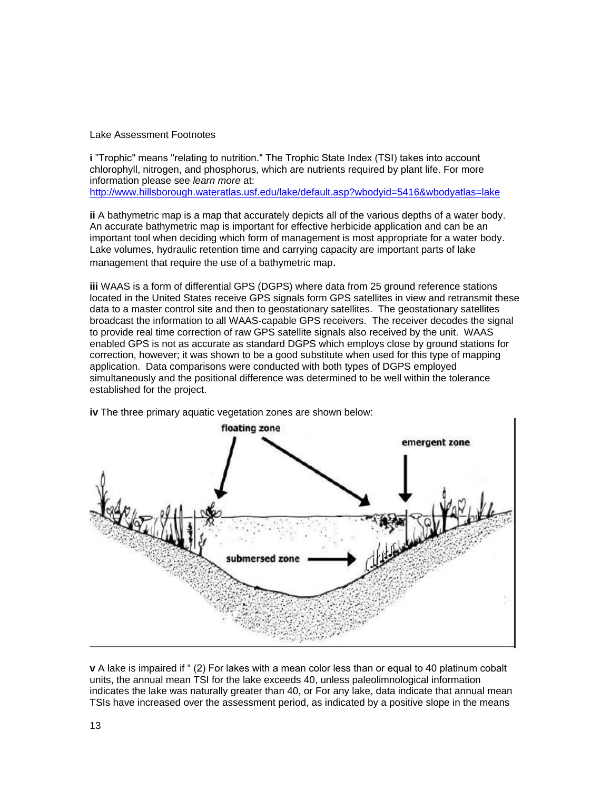Lake Assessment Footnotes

**i** "Trophic" means "relating to nutrition." The Trophic State Index (TSI) takes into account chlorophyll, nitrogen, and phosphorus, which are nutrients required by plant life. For more information please see *learn more* at:

<http://www.hillsborough.wateratlas.usf.edu/lake/default.asp?wbodyid=5416&wbodyatlas=lake>

**ii** A bathymetric map is a map that accurately depicts all of the various depths of a water body. An accurate bathymetric map is important for effective herbicide application and can be an important tool when deciding which form of management is most appropriate for a water body. Lake volumes, hydraulic retention time and carrying capacity are important parts of lake management that require the use of a bathymetric map.

**iii** WAAS is a form of differential GPS (DGPS) where data from 25 ground reference stations located in the United States receive GPS signals form GPS satellites in view and retransmit these data to a master control site and then to geostationary satellites. The geostationary satellites broadcast the information to all WAAS-capable GPS receivers. The receiver decodes the signal to provide real time correction of raw GPS satellite signals also received by the unit. WAAS enabled GPS is not as accurate as standard DGPS which employs close by ground stations for correction, however; it was shown to be a good substitute when used for this type of mapping application. Data comparisons were conducted with both types of DGPS employed simultaneously and the positional difference was determined to be well within the tolerance established for the project.



**iv** The three primary aquatic vegetation zones are shown below:

**v** A lake is impaired if " (2) For lakes with a mean color less than or equal to 40 platinum cobalt units, the annual mean TSI for the lake exceeds 40, unless paleolimnological information indicates the lake was naturally greater than 40, or For any lake, data indicate that annual mean TSIs have increased over the assessment period, as indicated by a positive slope in the means